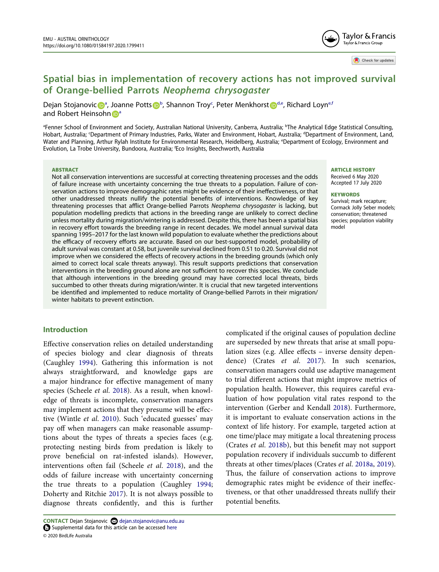

Check for updates

# **Spatial bias in implementation of recovery actions has not improved survival of Orange-bellied Parrots** *Neophema chrysogaster*

Dejan Stojanovi[c](http://orcid.org/0000-0002-1176-3244) D<sup>[a](#page-0-0)</sup>, Joanne Potts D<sup>[b](#page-0-0)</sup>, Shannon Troy<sup>c</sup>, Peter Menkhorst D<sup>[d](#page-0-1)[,e](#page-0-2)</sup>, Richard Loyn<sup>[e](#page-0-2), f</sup> a[n](http://orcid.org/0000-0002-2514-9448)d Robert Heinsohn

<span id="page-0-3"></span><span id="page-0-2"></span><span id="page-0-1"></span><span id="page-0-0"></span><sup>a</sup>Fenner School of Environment and Society, Australian National University, Canberra, Australia; <sup>b</sup>The Analytical Edge Statistical Consulting, Hobart, Australia; <sup>c</sup>Department of Primary Industries, Parks, Water and Environment, Hobart, Australia; <sup>d</sup>Department of Environment, Land, Water and Planning, Arthur Rylah Institute for Environmental Research, Heidelberg, Australia; e Department of Ecology, Environment and Evolution, La Trobe University, Bundoora, Australia; f Eco Insights, Beechworth, Australia

#### **ABSTRACT**

Not all conservation interventions are successful at correcting threatening processes and the odds of failure increase with uncertainty concerning the true threats to a population. Failure of conservation actions to improve demographic rates might be evidence of their ineffectiveness, or that other unaddressed threats nullify the potential benefits of interventions. Knowledge of key threatening processes that afflict Orange-bellied Parrots *Neophema chrysogaster* is lacking, but population modelling predicts that actions in the breeding range are unlikely to correct decline unless mortality during migration/wintering is addressed. Despite this, there has been a spatial bias in recovery effort towards the breeding range in recent decades. We model annual survival data spanning 1995–2017 for the last known wild population to evaluate whether the predictions about the efficacy of recovery efforts are accurate. Based on our best-supported model, probability of adult survival was constant at 0.58, but juvenile survival declined from 0.51 to 0.20. Survival did not improve when we considered the effects of recovery actions in the breeding grounds (which only aimed to correct local scale threats anyway). This result supports predictions that conservation interventions in the breeding ground alone are not sufficient to recover this species. We conclude that although interventions in the breeding ground may have corrected local threats, birds succumbed to other threats during migration/winter. It is crucial that new targeted interventions be identified and implemented to reduce mortality of Orange-bellied Parrots in their migration/ winter habitats to prevent extinction.

# **Introduction**

<span id="page-0-11"></span><span id="page-0-10"></span><span id="page-0-8"></span><span id="page-0-4"></span>Effective conservation relies on detailed understanding of species biology and clear diagnosis of threats (Caughley [1994](#page-4-0)). Gathering this information is not always straightforward, and knowledge gaps are a major hindrance for effective management of many species (Scheele *et al*. [2018\)](#page-5-0). As a result, when knowledge of threats is incomplete, conservation managers may implement actions that they presume will be effective (Wintle *et al*. [2010\)](#page-5-1). Such 'educated guesses' may pay off when managers can make reasonable assumptions about the types of threats a species faces (e.g. protecting nesting birds from predation is likely to prove beneficial on rat-infested islands). However, interventions often fail (Scheele *et al*. [2018](#page-5-0)), and the odds of failure increase with uncertainty concerning the true threats to a population (Caughley [1994](#page-4-0); Doherty and Ritchie [2017](#page-5-2)). It is not always possible to diagnose threats confidently, and this is further

#### **ARTICLE HISTORY**

Received 6 May 2020 Accepted 17 July 2020

#### **KEYWORDS**

Survival; mark recapture; Cormack Jolly Seber models; conservation; threatened species; population viability model

<span id="page-0-9"></span><span id="page-0-7"></span><span id="page-0-6"></span><span id="page-0-5"></span>complicated if the original causes of population decline are superseded by new threats that arise at small population sizes (e.g. Allee effects – inverse density dependence) (Crates *et al*. [2017](#page-4-1)). In such scenarios, conservation managers could use adaptive management to trial different actions that might improve metrics of population health. However, this requires careful evaluation of how population vital rates respond to the intervention (Gerber and Kendall [2018\)](#page-5-3). Furthermore, it is important to evaluate conservation actions in the context of life history. For example, targeted action at one time/place may mitigate a local threatening process (Crates *et al*. [2018b](#page-4-2)), but this benefit may not support population recovery if individuals succumb to different threats at other times/places (Crates *et al*. [2018a,](#page-4-3) [2019](#page-4-4)). Thus, the failure of conservation actions to improve demographic rates might be evidence of their ineffectiveness, or that other unaddressed threats nullify their potential benefits.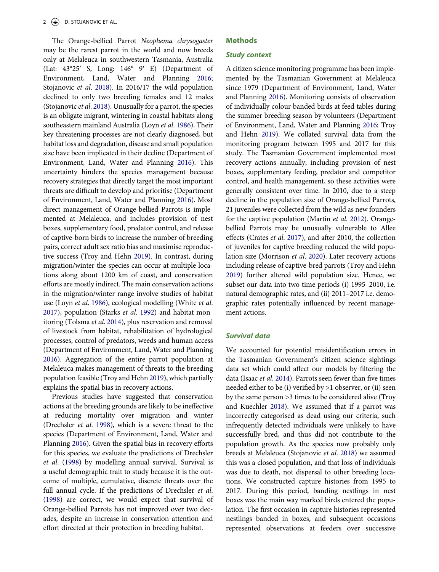The Orange-bellied Parrot *Neophema chrysogaster*  may be the rarest parrot in the world and now breeds only at Melaleuca in southwestern Tasmania, Australia (Lat: 43°25ʹ S, Long: 146° 9ʹ E) (Department of Environment, Land, Water and Planning [2016](#page-5-4); Stojanovic *et al*. [2018\)](#page-5-5). In 2016/17 the wild population declined to only two breeding females and 12 males (Stojanovic *et al*. [2018](#page-5-5)). Unusually for a parrot, the species is an obligate migrant, wintering in coastal habitats along southeastern mainland Australia (Loyn *et al*. [1986\)](#page-5-6). Their key threatening processes are not clearly diagnosed, but habitat loss and degradation, disease and small population size have been implicated in their decline (Department of Environment, Land, Water and Planning [2016](#page-5-4)). This uncertainty hinders the species management because recovery strategies that directly target the most important threats are difficult to develop and prioritise (Department of Environment, Land, Water and Planning [2016](#page-5-4)). Most direct management of Orange-bellied Parrots is implemented at Melaleuca, and includes provision of nest boxes, supplementary food, predator control, and release of captive-born birds to increase the number of breeding pairs, correct adult sex ratio bias and maximise reproductive success (Troy and Hehn [2019\)](#page-5-7). In contrast, during migration/winter the species can occur at multiple locations along about 1200 km of coast, and conservation efforts are mostly indirect. The main conservation actions in the migration/winter range involve studies of habitat use (Loyn *et al*. [1986\)](#page-5-6), ecological modelling (White *et al*. [2017\)](#page-5-8), population (Starks *et al*. [1992](#page-5-9)) and habitat monitoring (Tolsma *et al*. [2014](#page-5-10)), plus reservation and removal of livestock from habitat, rehabilitation of hydrological processes, control of predators, weeds and human access (Department of Environment, Land, Water and Planning [2016\)](#page-5-4). Aggregation of the entire parrot population at Melaleuca makes management of threats to the breeding population feasible (Troy and Hehn [2019](#page-5-7)), which partially explains the spatial bias in recovery actions.

<span id="page-1-8"></span><span id="page-1-6"></span><span id="page-1-3"></span><span id="page-1-1"></span>Previous studies have suggested that conservation actions at the breeding grounds are likely to be ineffective at reducing mortality over migration and winter (Drechsler *et al*. [1998](#page-5-11)), which is a severe threat to the species (Department of Environment, Land, Water and Planning [2016\)](#page-5-4). Given the spatial bias in recovery efforts for this species, we evaluate the predictions of Drechsler *et al*. ([1998\)](#page-5-11) by modelling annual survival. Survival is a useful demographic trait to study because it is the outcome of multiple, cumulative, discrete threats over the full annual cycle. If the predictions of Drechsler *et al*. ([1998](#page-5-11)) are correct, we would expect that survival of Orange-bellied Parrots has not improved over two decades, despite an increase in conservation attention and effort directed at their protection in breeding habitat.

# **Methods**

#### *Study context*

<span id="page-1-0"></span>A citizen science monitoring programme has been implemented by the Tasmanian Government at Melaleuca since 1979 (Department of Environment, Land, Water and Planning [2016](#page-5-4)). Monitoring consists of observation of individually colour banded birds at feed tables during the summer breeding season by volunteers (Department of Environment, Land, Water and Planning [2016](#page-5-4); Troy and Hehn [2019\)](#page-5-7). We collated survival data from the monitoring program between 1995 and 2017 for this study. The Tasmanian Government implemented most recovery actions annually, including provision of nest boxes, supplementary feeding, predator and competitor control, and health management, so these activities were generally consistent over time. In 2010, due to a steep decline in the population size of Orange-bellied Parrots, 21 juveniles were collected from the wild as new founders for the captive population (Martin *et al*. [2012\)](#page-5-12). Orangebellied Parrots may be unusually vulnerable to Allee effects (Crates *et al*. [2017\)](#page-4-1), and after 2010, the collection of juveniles for captive breeding reduced the wild population size (Morrison *et al*. [2020](#page-5-13)). Later recovery actions including release of captive-bred parrots (Troy and Hehn [2019](#page-5-7)) further altered wild population size. Hence, we subset our data into two time periods (i) 1995–2010, i.e. natural demographic rates, and (ii) 2011–2017 i.e. demographic rates potentially influenced by recent management actions.

# <span id="page-1-9"></span><span id="page-1-5"></span><span id="page-1-4"></span>*Survival data*

<span id="page-1-10"></span><span id="page-1-7"></span><span id="page-1-2"></span>We accounted for potential misidentification errors in the Tasmanian Government's citizen science sightings data set which could affect our models by filtering the data (Isaac *et al*. [2014](#page-5-14)). Parrots seen fewer than five times needed either to be (i) verified by >1 observer, or (ii) seen by the same person >3 times to be considered alive (Troy and Kuechler [2018](#page-5-15)). We assumed that if a parrot was incorrectly categorised as dead using our criteria, such infrequently detected individuals were unlikely to have successfully bred, and thus did not contribute to the population growth. As the species now probably only breeds at Melaleuca (Stojanovic *et al*. [2018](#page-5-5)) we assumed this was a closed population, and that loss of individuals was due to death, not dispersal to other breeding locations. We constructed capture histories from 1995 to 2017. During this period, banding nestlings in nest boxes was the main way marked birds entered the population. The first occasion in capture histories represented nestlings banded in boxes, and subsequent occasions represented observations at feeders over successive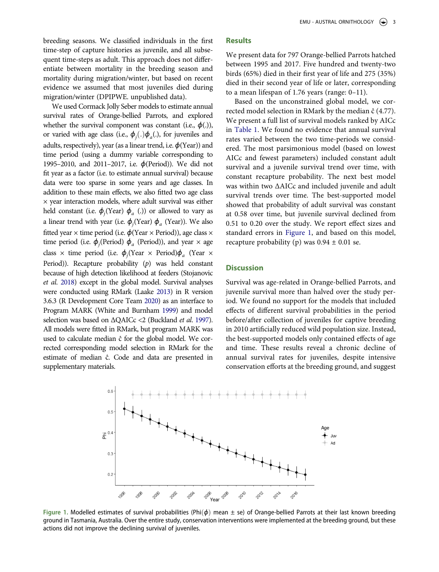breeding seasons. We classified individuals in the first time-step of capture histories as juvenile, and all subsequent time-steps as adult. This approach does not differentiate between mortality in the breeding season and mortality during migration/winter, but based on recent evidence we assumed that most juveniles died during migration/winter (DPIPWE. unpublished data).

We used Cormack Jolly Seber models to estimate annual survival rates of Orange-bellied Parrots, and explored whether the survival component was constant (i.e.,  $\phi(.)$ ), or varied with age class (i.e.,  $\phi_j(.)\phi_a(.)$ , for juveniles and adults, respectively), year (as a linear trend, i.e. *ϕ*(Year)) and time period (using a dummy variable corresponding to 1995–2010, and 2011–2017, i.e. *ϕ*(Period)). We did not fit year as a factor (i.e. to estimate annual survival) because data were too sparse in some years and age classes. In addition to these main effects, we also fitted two age class  $\times$  year interaction models, where adult survival was either held constant (i.e.  $\phi_j(Year) \phi_a$  (.)) or allowed to vary as a linear trend with year (i.e.  $\phi_j$ (Year)  $\phi_a$  (Year)). We also fitted year  $\times$  time period (i.e.  $\phi$ (Year  $\times$  Period)), age class  $\times$ time period (i.e.  $\phi_j$ (Period)  $\phi_a$  (Period)), and year  $\times$  age class × time period (i.e. *ϕ<sup>j</sup>* (Year × Period)*ϕa* (Year × Period)). Recapture probability (*p*) was held constant because of high detection likelihood at feeders (Stojanovic *et al*. [2018](#page-5-5)) except in the global model. Survival analyses were conducted using RMark (Laake [2013](#page-5-16)) in R version 3.6.3 (R Development Core Team [2020](#page-5-17)) as an interface to Program MARK (White and Burnham [1999](#page-5-18)) and model selection was based on ΔQAICc <2 (Buckland *et al*. [1997\)](#page-4-5). All models were fitted in RMark, but program MARK was used to calculate median ĉ for the global model. We corrected corresponding model selection in RMark for the estimate of median ĉ. Code and data are presented in supplementary materials.

# **Results**

We present data for 797 Orange-bellied Parrots hatched between 1995 and 2017. Five hundred and twenty-two birds (65%) died in their first year of life and 275 (35%) died in their second year of life or later, corresponding to a mean lifespan of 1.76 years (range: 0–11).

Based on the unconstrained global model, we corrected model selection in RMark by the median ĉ (4.77). We present a full list of survival models ranked by AICc in [Table 1](#page-3-0). We found no evidence that annual survival rates varied between the two time-periods we considered. The most parsimonious model (based on lowest AICc and fewest parameters) included constant adult survival and a juvenile survival trend over time, with constant recapture probability. The next best model was within two ΔAICc and included juvenile and adult survival trends over time. The best-supported model showed that probability of adult survival was constant at 0.58 over time, but juvenile survival declined from 0.51 to 0.20 over the study. We report effect sizes and standard errors in [Figure 1](#page-2-0), and based on this model, recapture probability (p) was  $0.94 \pm 0.01$  se.

# **Discussion**

Survival was age-related in Orange-bellied Parrots, and juvenile survival more than halved over the study period. We found no support for the models that included effects of different survival probabilities in the period before/after collection of juveniles for captive breeding in 2010 artificially reduced wild population size. Instead, the best-supported models only contained effects of age and time. These results reveal a chronic decline of annual survival rates for juveniles, despite intensive conservation efforts at the breeding ground, and suggest

<span id="page-2-4"></span><span id="page-2-3"></span><span id="page-2-2"></span><span id="page-2-1"></span><span id="page-2-0"></span>

**Figure 1.** Modelled estimates of survival probabilities (Phið*ϕ*Þ mean ± se) of Orange-bellied Parrots at their last known breeding ground in Tasmania, Australia. Over the entire study, conservation interventions were implemented at the breeding ground, but these actions did not improve the declining survival of juveniles.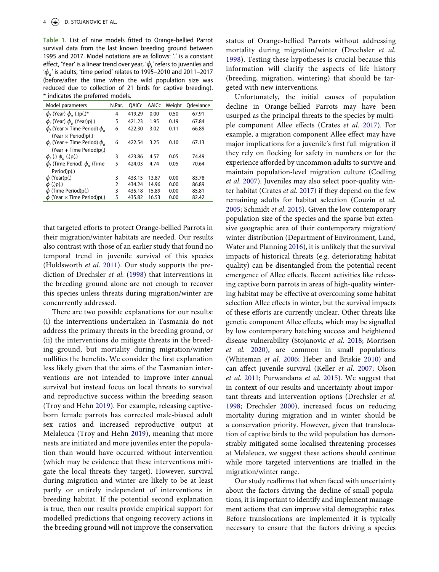<span id="page-3-0"></span>**Table 1.** List of nine models fitted to Orange-bellied Parrot survival data from the last known breeding ground between 1995 and 2017. Model notations are as follows: '.' is a constant effect, 'Year' is a linear trend over year, '*ϕ<sup>j</sup>* ' refers to juveniles and '*ϕa*' is adults, 'time period' relates to 1995–2010 and 2011–2017 (before/after the time when the wild population size was reduced due to collection of 21 birds for captive breeding). \* indicates the preferred models.

| N.Par. | OAICc  | ∆AICc | Weight | Odeviance |
|--------|--------|-------|--------|-----------|
| 4      | 419.29 | 0.00  | 0.50   | 67.91     |
| 5      | 421.23 | 1.95  | 0.19   | 67.84     |
| 6      | 422.30 | 3.02  | 0.11   | 66.89     |
|        |        |       |        |           |
| 6      | 422.54 | 3.25  | 0.10   | 67.13     |
|        |        |       |        |           |
| 3      | 423.86 | 4.57  | 0.05   | 74.49     |
| 5      | 424.03 | 4.74  | 0.05   | 70.64     |
|        |        |       |        |           |
| 3      | 433.15 | 13.87 | 0.00   | 83.78     |
| 2      | 434.24 | 14.96 | 0.00   | 86.89     |
| 3      | 435.18 | 15.89 | 0.00   | 85.81     |
| 5      | 435.82 | 16.53 | 0.00   | 82.42     |
|        |        |       |        |           |

<span id="page-3-5"></span>that targeted efforts to protect Orange-bellied Parrots in their migration/winter habitats are needed. Our results also contrast with those of an earlier study that found no temporal trend in juvenile survival of this species (Holdsworth *et al*. [2011](#page-5-19)). Our study supports the prediction of Drechsler *et al*. [\(1998\)](#page-5-11) that interventions in the breeding ground alone are not enough to recover this species unless threats during migration/winter are concurrently addressed.

There are two possible explanations for our results: (i) the interventions undertaken in Tasmania do not address the primary threats in the breeding ground, or (ii) the interventions do mitigate threats in the breeding ground, but mortality during migration/winter nullifies the benefits. We consider the first explanation less likely given that the aims of the Tasmanian interventions are not intended to improve inter-annual survival but instead focus on local threats to survival and reproductive success within the breeding season (Troy and Hehn [2019](#page-5-7)). For example, releasing captiveborn female parrots has corrected male-biased adult sex ratios and increased reproductive output at Melaleuca (Troy and Hehn [2019\)](#page-5-7), meaning that more nests are initiated and more juveniles enter the population than would have occurred without intervention (which may be evidence that these interventions mitigate the local threats they target). However, survival during migration and winter are likely to be at least partly or entirely independent of interventions in breeding habitat. If the potential second explanation is true, then our results provide empirical support for modelled predictions that ongoing recovery actions in the breeding ground will not improve the conservation status of Orange-bellied Parrots without addressing mortality during migration/winter (Drechsler *et al*. [1998](#page-5-11)). Testing these hypotheses is crucial because this information will clarify the aspects of life history (breeding, migration, wintering) that should be targeted with new interventions.

<span id="page-3-9"></span><span id="page-3-2"></span><span id="page-3-1"></span>Unfortunately, the initial causes of population decline in Orange-bellied Parrots may have been usurped as the principal threats to the species by multiple component Allee effects (Crates *et al*. [2017\)](#page-4-1). For example, a migration component Allee effect may have major implications for a juvenile's first full migration if they rely on flocking for safety in numbers or for the experience afforded by uncommon adults to survive and maintain population-level migration culture (Codling *et al*. [2007\)](#page-4-6). Juveniles may also select poor-quality winter habitat (Crates *et al*. [2017\)](#page-4-1) if they depend on the few remaining adults for habitat selection (Couzin *et al*. [2005;](#page-4-7) Schmidt *et al*. [2015](#page-5-20)). Given the low contemporary population size of the species and the sparse but extensive geographic area of their contemporary migration/ winter distribution (Department of Environment, Land, Water and Planning [2016\)](#page-5-4), it is unlikely that the survival impacts of historical threats (e.g. deteriorating habitat quality) can be disentangled from the potential recent emergence of Allee effects. Recent activities like releasing captive born parrots in areas of high-quality wintering habitat may be effective at overcoming some habitat selection Allee effects in winter, but the survival impacts of these efforts are currently unclear. Other threats like genetic component Allee effects, which may be signalled by low contemporary hatching success and heightened disease vulnerability (Stojanovic *et al*. [2018;](#page-5-5) Morrison *et al*. [2020\)](#page-5-21), are common in small populations (Whiteman *et al*. [2006;](#page-5-22) Heber and Briskie [2010](#page-5-23)) and can affect juvenile survival (Keller *et al*. [2007;](#page-5-24) Olson *et al*. [2011;](#page-5-25) Purwandana *et al*. [2015](#page-5-26)). We suggest that in context of our results and uncertainty about important threats and intervention options (Drechsler *et al*. [1998;](#page-5-11) Drechsler [2000](#page-5-27)), increased focus on reducing mortality during migration and in winter should be a conservation priority. However, given that translocation of captive birds to the wild population has demonstrably mitigated some localised threatening processes at Melaleuca, we suggest these actions should continue while more targeted interventions are trialled in the migration/winter range.

<span id="page-3-8"></span><span id="page-3-7"></span><span id="page-3-6"></span><span id="page-3-4"></span><span id="page-3-3"></span>Our study reaffirms that when faced with uncertainty about the factors driving the decline of small populations, it is important to identify and implement management actions that can improve vital demographic rates. Before translocations are implemented it is typically necessary to ensure that the factors driving a species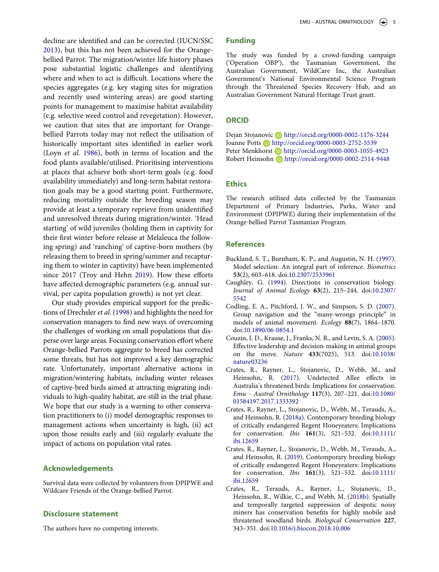<span id="page-4-8"></span>decline are identified and can be corrected (IUCN/SSC [2013](#page-5-28)), but this has not been achieved for the Orangebellied Parrot. The migration/winter life history phases pose substantial logistic challenges and identifying where and when to act is difficult. Locations where the species aggregates (e.g. key staging sites for migration and recently used wintering areas) are good starting points for management to maximise habitat availability (e.g. selective weed control and revegetation). However, we caution that sites that are important for Orangebellied Parrots today may not reflect the utilisation of historically important sites identified in earlier work (Loyn *et al*. [1986\)](#page-5-6), both in terms of location and the food plants available/utilised. Prioritising interventions at places that achieve both short-term goals (e.g. food availability immediately) and long-term habitat restoration goals may be a good starting point. Furthermore, reducing mortality outside the breeding season may provide at least a temporary reprieve from unidentified and unresolved threats during migration/winter. 'Head starting' of wild juveniles (holding them in captivity for their first winter before release at Melaleuca the following spring) and 'ranching' of captive-born mothers (by releasing them to breed in spring/summer and recapturing them to winter in captivity) have been implemented since 2017 (Troy and Hehn [2019\)](#page-5-7). How these efforts have affected demographic parameters (e.g. annual survival, per capita population growth) is not yet clear.

Our study provides empirical support for the predictions of Drechsler *et al*. [\(1998\)](#page-5-11) and highlights the need for conservation managers to find new ways of overcoming the challenges of working on small populations that disperse over large areas. Focusing conservation effort where Orange-bellied Parrots aggregate to breed has corrected some threats, but has not improved a key demographic rate. Unfortunately, important alternative actions in migration/wintering habitats, including winter releases of captive-bred birds aimed at attracting migrating individuals to high-quality habitat, are still in the trial phase. We hope that our study is a warning to other conservation practitioners to (i) model demographic responses to management actions when uncertainty is high, (ii) act upon those results early and (iii) regularly evaluate the impact of actions on population vital rates.

## **Acknowledgements**

Survival data were collected by volunteers from DPIPWE and Wildcare Friends of the Orange-bellied Parrot.

### **Disclosure statement**

The authors have no competing interests.

# **Funding**

The study was funded by a crowd-funding campaign ('Operation OBP'), the Tasmanian Government, the Australian Government, WildCare Inc, the Australian Government's National Environmental Science Program through the Threatened Species Recovery Hub, and an Australian Government Natural Heritage Trust grant.

### **ORCID**

Dejan Stojanovic **h**ttp://orcid.org/0000-0002-1176-3244 Joanne Potts **b** http://orcid.org/0000-0003-2752-5539 Peter Menkhorst **b** http://orcid.org/0000-0003-1055-4923 Robert Heinsohn **b** http://orcid.org/0000-0002-2514-9448

## **Ethics**

The research utilised data collected by the Tasmanian Department of Primary Industries, Parks, Water and Environment (DPIPWE) during their implementation of the Orange-bellied Parrot Tasmanian Program.

#### **References**

- <span id="page-4-5"></span>Buckland, S. T., Burnham, K. P., and Augustin, N. H. ([1997](#page-2-1)). Model selection: An integral part of inference. *Biometrics*  **53**(2), 603–618. doi:[10.2307/2533961](https://doi.org/10.2307/2533961)
- <span id="page-4-0"></span>Caughley, G. [\(1994\)](#page-0-4). Directions in conservation biology. *Journal of Animal Ecology* **63**(2), 215–244. doi:[10.2307/](https://doi.org/10.2307/5542) [5542](https://doi.org/10.2307/5542)
- <span id="page-4-6"></span>Codling, E. A., Pitchford, J. W., and Simpson, S. D. ([2007](#page-3-1)). Group navigation and the "many-wrongs principle" in models of animal movement. *Ecology* **88**(7), 1864–1870. doi:[10.1890/06-0854.1](https://doi.org/10.1890/06-0854.1)
- <span id="page-4-7"></span>Couzin, I. D., Krause, J., Franks, N. R., and Levin, S. A. ([2005](#page-3-2)). Effective leadership and decision-making in animal groups on the move. *Nature* **433**(7025), 513. doi:[10.1038/](https://doi.org/10.1038/nature03236) [nature03236](https://doi.org/10.1038/nature03236)
- <span id="page-4-1"></span>Crates, R., Rayner, L., Stojanovic, D., Webb, M., and Heinsohn, R. [\(2017\)](#page-0-5). Undetected Allee effects in Australia's threatened birds: Implications for conservation. *Emu - Austral Ornithology* **117**(3), 207–221. doi:[10.1080/](https://doi.org/10.1080/01584197.2017.1333392) [01584197.2017.1333392](https://doi.org/10.1080/01584197.2017.1333392)
- <span id="page-4-3"></span>Crates, R., Rayner, L., Stojanovic, D., Webb, M., Terauds, A., and Heinsohn, R. [\(2018a\)](#page-0-6). Contemporary breeding biology of critically endangered Regent Honeyeaters: Implications for conservation. *Ibis* **161**(3), 521–532. doi:[10.1111/](https://doi.org/10.1111/ibi.12659) [ibi.12659](https://doi.org/10.1111/ibi.12659)
- <span id="page-4-4"></span>Crates, R., Rayner, L., Stojanovic, D., Webb, M., Terauds, A., and Heinsohn, R. [\(2019\)](#page-0-6). Contemporary breeding biology of critically endangered Regent Honeyeaters: Implications for conservation. *Ibis* **161**(3), 521–532. doi:[10.1111/](https://doi.org/10.1111/ibi.12659) [ibi.12659](https://doi.org/10.1111/ibi.12659)
- <span id="page-4-2"></span>Crates, R., Terauds, A., Rayner, L., Stojanovic, D., Heinsohn, R., Wilkie, C., and Webb, M. ([2018b\)](#page-0-7). Spatially and temporally targeted suppression of despotic noisy miners has conservation benefits for highly mobile and threatened woodland birds. *Biological Conservation* **227**, 343–351. doi:[10.1016/j.biocon.2018.10.006](https://doi.org/10.1016/j.biocon.2018.10.006)